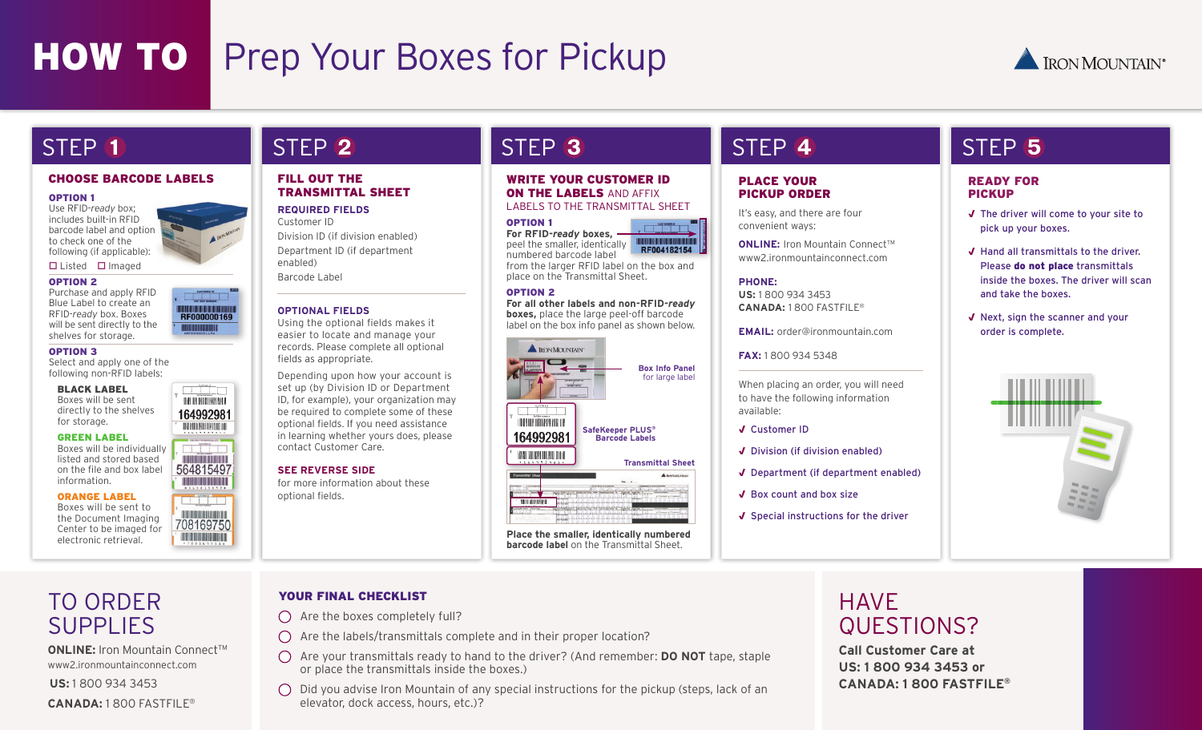# **HOW TO** Prep Your Boxes for Pickup



#### CHOOSE BARCODE LABELS FILL OUT THE

............... RF000000169

**THE INTERNATIONAL** 164992981

**Bulginia** 

**THE REAL PROPERTY** 564815497 **Latinian** 

**TELEVISIONES** 708169750

#### OPTION 1

Use RFID-*ready* box; includes built-in RFID barcode label and option to check one of the following (if applicable):

 $\Box$  Listed  $\Box$  Imaged

#### OPTION 2

Purchase and apply RFID Blue Label to create an RFID-*ready* box. Boxes will be sent directly to the shelves for storage.

#### OPTION 3

Select and apply one of the following non-RFID labels:

#### BLACK LABEL

Boxes will be sent directly to the shelves for storage.

#### GREEN LABEL

Boxes will be individually listed and stored based on the file and box label information.

#### ORANGE LABEL

Boxes will be sent to the Document Imaging Center to be imaged for

# TRANSMITTAL SHEET

**REQUIRED FIELDS** Customer ID Division ID (if division enabled) Department ID (if department enabled)

Barcode Label

#### **OPTIONAL FIELDS**

Using the optional fields makes it easier to locate and manage your records. Please complete all optional fields as appropriate.

Depending upon how your account is set up (by Division ID or Department ID, for example), your organization may be required to complete some of these optional fields. If you need assistance in learning whether yours does, please contact Customer Care.

for more information about these optional fields.

WRITE YOUR CUSTOMER ID **ON THE LABELS** AND AFFIX LABELS TO THE TRANSMITTAL SHEET

#### OPTION 1

**For RFID-***ready* **boxes,** peel the smaller, identically RF004182154 numbered barcode label from the larger RFID label on the box and place on the Transmittal Sheet.

#### OPTION 2

**For all other labels and non-RFID-***ready* **boxes,** place the large peel-off barcode label on the box info panel as shown below.



electronic retrieval. **Place the smaller, identically numbered barcode label** on the Transmittal Sheet.

# STEP 1 STEP 3 STEP STEP STEP 3 STEP 4 STEP 5 STEP

#### PLACE YOUR PICKUP ORDER

It's easy, and there are four convenient ways:

**ONLINE:** Iron Mountain Connect™ www2.ironmountainconnect.com

#### **PHONE:**

**US:** 1 800 934 3453 **CANADA:** 1 800 FASTFILE®

**EMAIL:** order@ironmountain.com

**FAX:** 1 800 934 5348

When placing an order, you will need to have the following information available:

- √ Customer ID
- √ Division (if division enabled)
- √ Department (if department enabled)
- √ Box count and box size
- √ Special instructions for the driver

#### READY FOR PICKUP

- √ The driver will come to your site to pick up your boxes.
- √ Hand all transmittals to the driver. Please do not place transmittals inside the boxes. The driver will scan and take the boxes.
- √ Next, sign the scanner and your order is complete.



## TO ORDER SUPPLIES

**ONLINE:** Iron Mountain Connect™ www2.ironmountainconnect.com

**US:** 1 800 934 3453

**CANADA:** 1 800 FASTFILE®

#### YOUR FINAL CHECKLIST

- $\bigcap$  Are the boxes completely full?
- $\bigcap$  Are the labels/transmittals complete and in their proper location?
- Are your transmittals ready to hand to the driver? (And remember: **DO NOT** tape, staple or place the transmittals inside the boxes.)
	- $\bigcirc$  Did you advise Iron Mountain of any special instructions for the pickup (steps, lack of an elevator, dock access, hours, etc.)?

### HAVE QUESTIONS?

**Call Customer Care at US: 1 800 934 3453 or CANADA: 1 800 FASTFILE®**

# **SEE REVERSE SIDE**